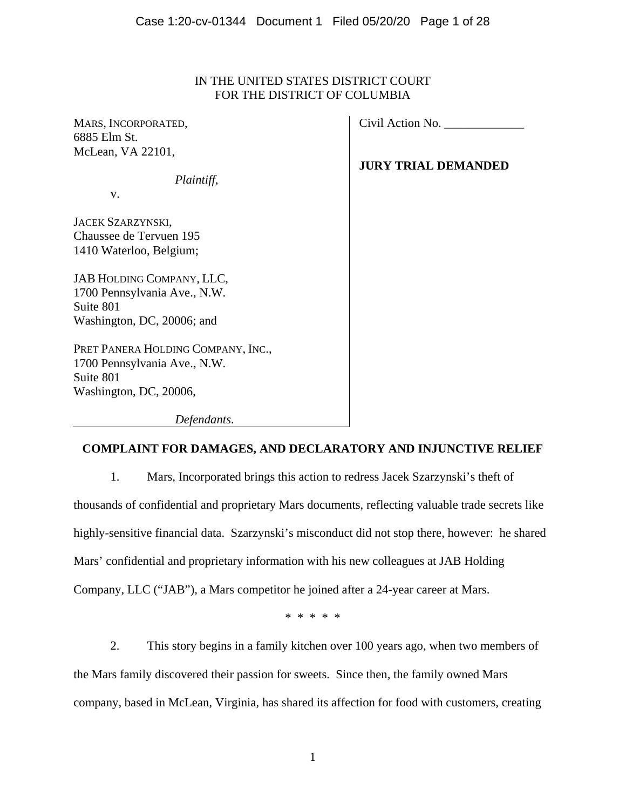# IN THE UNITED STATES DISTRICT COURT FOR THE DISTRICT OF COLUMBIA

MARS, INCORPORATED, 6885 Elm St. McLean, VA 22101,

*Plaintiff*,

v.

JACEK SZARZYNSKI, Chaussee de Tervuen 195 1410 Waterloo, Belgium;

JAB HOLDING COMPANY, LLC, 1700 Pennsylvania Ave., N.W. Suite 801 Washington, DC, 20006; and

PRET PANERA HOLDING COMPANY, INC., 1700 Pennsylvania Ave., N.W. Suite 801 Washington, DC, 20006,

Civil Action No. \_\_\_\_\_\_\_\_\_\_\_\_\_

**JURY TRIAL DEMANDED** 

*Defendants*.

# **COMPLAINT FOR DAMAGES, AND DECLARATORY AND INJUNCTIVE RELIEF**

1. Mars, Incorporated brings this action to redress Jacek Szarzynski's theft of thousands of confidential and proprietary Mars documents, reflecting valuable trade secrets like highly-sensitive financial data. Szarzynski's misconduct did not stop there, however: he shared Mars' confidential and proprietary information with his new colleagues at JAB Holding Company, LLC ("JAB"), a Mars competitor he joined after a 24-year career at Mars.

\* \* \* \* \*

2. This story begins in a family kitchen over 100 years ago, when two members of the Mars family discovered their passion for sweets. Since then, the family owned Mars company, based in McLean, Virginia, has shared its affection for food with customers, creating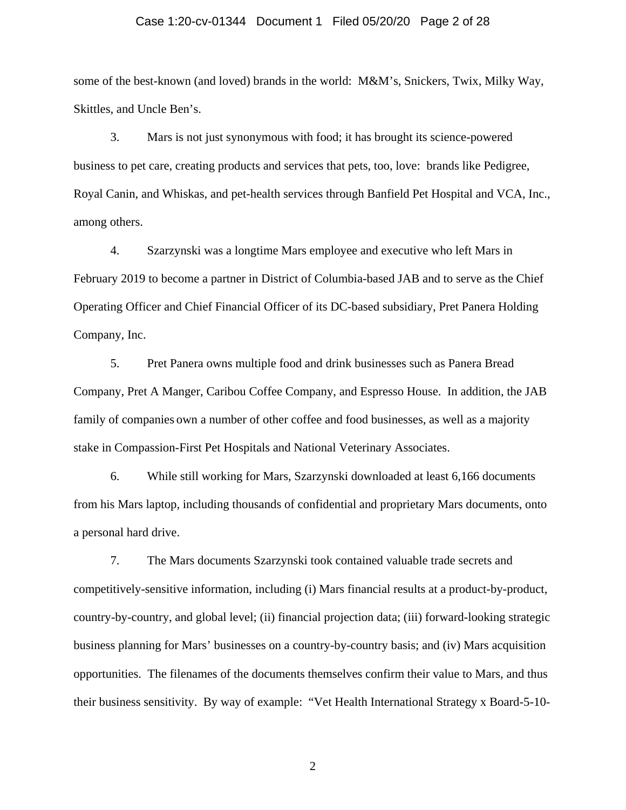## Case 1:20-cv-01344 Document 1 Filed 05/20/20 Page 2 of 28

some of the best-known (and loved) brands in the world: M&M's, Snickers, Twix, Milky Way, Skittles, and Uncle Ben's.

3. Mars is not just synonymous with food; it has brought its science-powered business to pet care, creating products and services that pets, too, love: brands like Pedigree, Royal Canin, and Whiskas, and pet-health services through Banfield Pet Hospital and VCA, Inc., among others.

4. Szarzynski was a longtime Mars employee and executive who left Mars in February 2019 to become a partner in District of Columbia-based JAB and to serve as the Chief Operating Officer and Chief Financial Officer of its DC-based subsidiary, Pret Panera Holding Company, Inc.

5. Pret Panera owns multiple food and drink businesses such as Panera Bread Company, Pret A Manger, Caribou Coffee Company, and Espresso House. In addition, the JAB family of companies own a number of other coffee and food businesses, as well as a majority stake in Compassion-First Pet Hospitals and National Veterinary Associates.

6. While still working for Mars, Szarzynski downloaded at least 6,166 documents from his Mars laptop, including thousands of confidential and proprietary Mars documents, onto a personal hard drive.

7. The Mars documents Szarzynski took contained valuable trade secrets and competitively-sensitive information, including (i) Mars financial results at a product-by-product, country-by-country, and global level; (ii) financial projection data; (iii) forward-looking strategic business planning for Mars' businesses on a country-by-country basis; and (iv) Mars acquisition opportunities. The filenames of the documents themselves confirm their value to Mars, and thus their business sensitivity. By way of example: "Vet Health International Strategy x Board-5-10-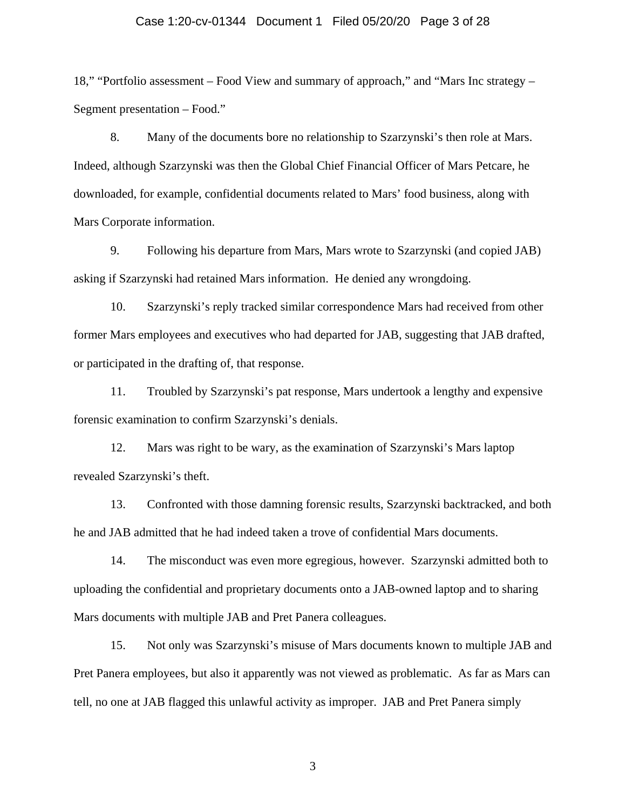## Case 1:20-cv-01344 Document 1 Filed 05/20/20 Page 3 of 28

18," "Portfolio assessment – Food View and summary of approach," and "Mars Inc strategy – Segment presentation – Food."

8. Many of the documents bore no relationship to Szarzynski's then role at Mars. Indeed, although Szarzynski was then the Global Chief Financial Officer of Mars Petcare, he downloaded, for example, confidential documents related to Mars' food business, along with Mars Corporate information.

9. Following his departure from Mars, Mars wrote to Szarzynski (and copied JAB) asking if Szarzynski had retained Mars information. He denied any wrongdoing.

10. Szarzynski's reply tracked similar correspondence Mars had received from other former Mars employees and executives who had departed for JAB, suggesting that JAB drafted, or participated in the drafting of, that response.

11. Troubled by Szarzynski's pat response, Mars undertook a lengthy and expensive forensic examination to confirm Szarzynski's denials.

12. Mars was right to be wary, as the examination of Szarzynski's Mars laptop revealed Szarzynski's theft.

13. Confronted with those damning forensic results, Szarzynski backtracked, and both he and JAB admitted that he had indeed taken a trove of confidential Mars documents.

14. The misconduct was even more egregious, however. Szarzynski admitted both to uploading the confidential and proprietary documents onto a JAB-owned laptop and to sharing Mars documents with multiple JAB and Pret Panera colleagues.

15. Not only was Szarzynski's misuse of Mars documents known to multiple JAB and Pret Panera employees, but also it apparently was not viewed as problematic. As far as Mars can tell, no one at JAB flagged this unlawful activity as improper. JAB and Pret Panera simply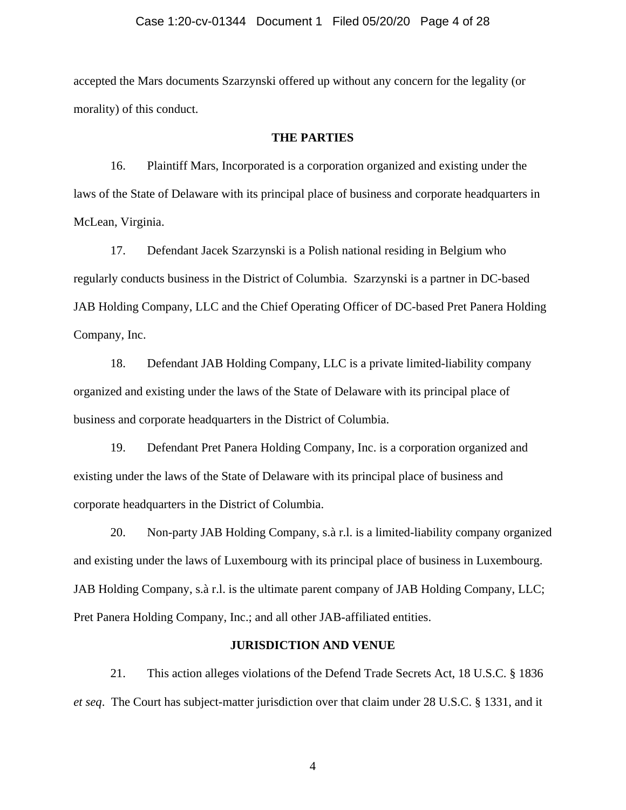accepted the Mars documents Szarzynski offered up without any concern for the legality (or morality) of this conduct.

## **THE PARTIES**

16. Plaintiff Mars, Incorporated is a corporation organized and existing under the laws of the State of Delaware with its principal place of business and corporate headquarters in McLean, Virginia.

17. Defendant Jacek Szarzynski is a Polish national residing in Belgium who regularly conducts business in the District of Columbia. Szarzynski is a partner in DC-based JAB Holding Company, LLC and the Chief Operating Officer of DC-based Pret Panera Holding Company, Inc.

18. Defendant JAB Holding Company, LLC is a private limited-liability company organized and existing under the laws of the State of Delaware with its principal place of business and corporate headquarters in the District of Columbia.

19. Defendant Pret Panera Holding Company, Inc. is a corporation organized and existing under the laws of the State of Delaware with its principal place of business and corporate headquarters in the District of Columbia.

20. Non-party JAB Holding Company, s.à r.l. is a limited-liability company organized and existing under the laws of Luxembourg with its principal place of business in Luxembourg. JAB Holding Company, s.à r.l. is the ultimate parent company of JAB Holding Company, LLC; Pret Panera Holding Company, Inc.; and all other JAB-affiliated entities.

### **JURISDICTION AND VENUE**

21. This action alleges violations of the Defend Trade Secrets Act, 18 U.S.C. § 1836 *et seq*.The Court has subject-matter jurisdiction over that claim under 28 U.S.C. § 1331, and it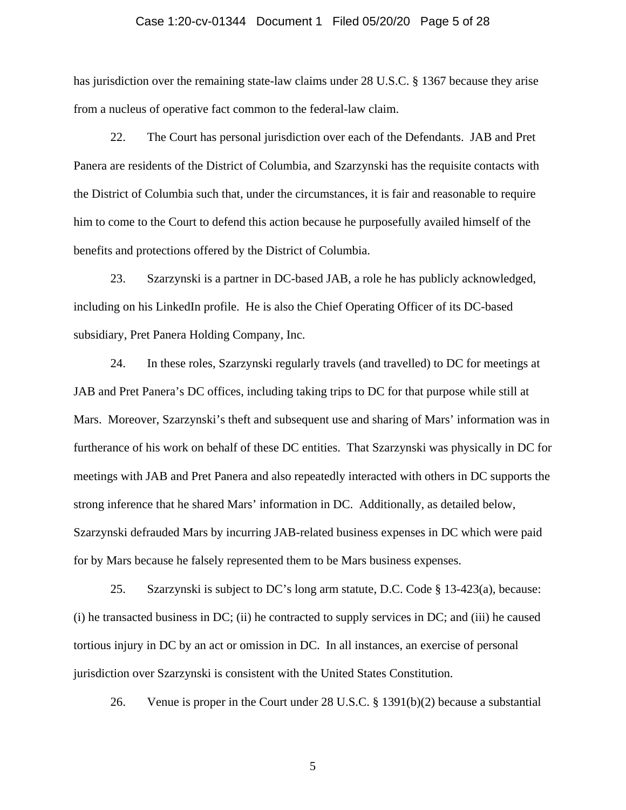#### Case 1:20-cv-01344 Document 1 Filed 05/20/20 Page 5 of 28

has jurisdiction over the remaining state-law claims under 28 U.S.C. § 1367 because they arise from a nucleus of operative fact common to the federal-law claim.

22. The Court has personal jurisdiction over each of the Defendants. JAB and Pret Panera are residents of the District of Columbia, and Szarzynski has the requisite contacts with the District of Columbia such that, under the circumstances, it is fair and reasonable to require him to come to the Court to defend this action because he purposefully availed himself of the benefits and protections offered by the District of Columbia.

23. Szarzynski is a partner in DC-based JAB, a role he has publicly acknowledged, including on his LinkedIn profile. He is also the Chief Operating Officer of its DC-based subsidiary, Pret Panera Holding Company, Inc.

24. In these roles, Szarzynski regularly travels (and travelled) to DC for meetings at JAB and Pret Panera's DC offices, including taking trips to DC for that purpose while still at Mars. Moreover, Szarzynski's theft and subsequent use and sharing of Mars' information was in furtherance of his work on behalf of these DC entities. That Szarzynski was physically in DC for meetings with JAB and Pret Panera and also repeatedly interacted with others in DC supports the strong inference that he shared Mars' information in DC. Additionally, as detailed below, Szarzynski defrauded Mars by incurring JAB-related business expenses in DC which were paid for by Mars because he falsely represented them to be Mars business expenses.

25. Szarzynski is subject to DC's long arm statute, D.C. Code § 13-423(a), because: (i) he transacted business in DC; (ii) he contracted to supply services in DC; and (iii) he caused tortious injury in DC by an act or omission in DC. In all instances, an exercise of personal jurisdiction over Szarzynski is consistent with the United States Constitution.

26. Venue is proper in the Court under 28 U.S.C. § 1391(b)(2) because a substantial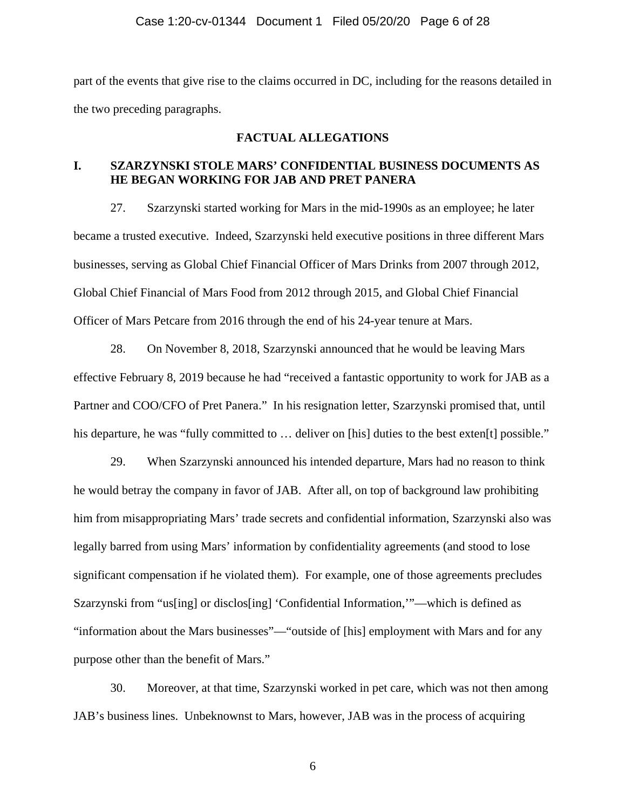part of the events that give rise to the claims occurred in DC, including for the reasons detailed in the two preceding paragraphs.

## **FACTUAL ALLEGATIONS**

## **I. SZARZYNSKI STOLE MARS' CONFIDENTIAL BUSINESS DOCUMENTS AS HE BEGAN WORKING FOR JAB AND PRET PANERA**

27. Szarzynski started working for Mars in the mid-1990s as an employee; he later became a trusted executive. Indeed, Szarzynski held executive positions in three different Mars businesses, serving as Global Chief Financial Officer of Mars Drinks from 2007 through 2012, Global Chief Financial of Mars Food from 2012 through 2015, and Global Chief Financial Officer of Mars Petcare from 2016 through the end of his 24-year tenure at Mars.

28. On November 8, 2018, Szarzynski announced that he would be leaving Mars effective February 8, 2019 because he had "received a fantastic opportunity to work for JAB as a Partner and COO/CFO of Pret Panera." In his resignation letter, Szarzynski promised that, until his departure, he was "fully committed to ... deliver on [his] duties to the best exten<sup>[t]</sup> possible."

29. When Szarzynski announced his intended departure, Mars had no reason to think he would betray the company in favor of JAB. After all, on top of background law prohibiting him from misappropriating Mars' trade secrets and confidential information, Szarzynski also was legally barred from using Mars' information by confidentiality agreements (and stood to lose significant compensation if he violated them). For example, one of those agreements precludes Szarzynski from "us[ing] or disclos[ing] 'Confidential Information,'"—which is defined as "information about the Mars businesses"—"outside of [his] employment with Mars and for any purpose other than the benefit of Mars."

30. Moreover, at that time, Szarzynski worked in pet care, which was not then among JAB's business lines. Unbeknownst to Mars, however, JAB was in the process of acquiring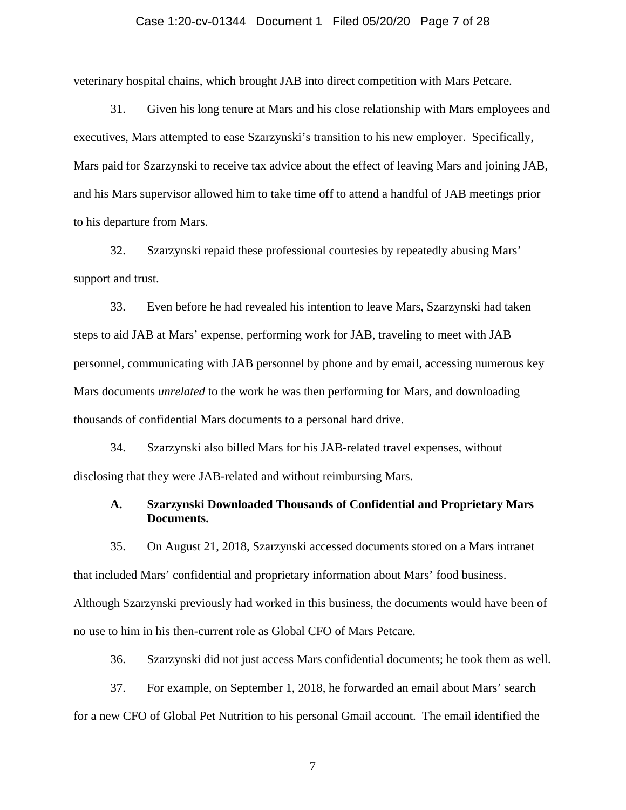## Case 1:20-cv-01344 Document 1 Filed 05/20/20 Page 7 of 28

veterinary hospital chains, which brought JAB into direct competition with Mars Petcare.

31. Given his long tenure at Mars and his close relationship with Mars employees and executives, Mars attempted to ease Szarzynski's transition to his new employer. Specifically, Mars paid for Szarzynski to receive tax advice about the effect of leaving Mars and joining JAB, and his Mars supervisor allowed him to take time off to attend a handful of JAB meetings prior to his departure from Mars.

32. Szarzynski repaid these professional courtesies by repeatedly abusing Mars' support and trust.

33. Even before he had revealed his intention to leave Mars, Szarzynski had taken steps to aid JAB at Mars' expense, performing work for JAB, traveling to meet with JAB personnel, communicating with JAB personnel by phone and by email, accessing numerous key Mars documents *unrelated* to the work he was then performing for Mars, and downloading thousands of confidential Mars documents to a personal hard drive.

34. Szarzynski also billed Mars for his JAB-related travel expenses, without disclosing that they were JAB-related and without reimbursing Mars.

## **A. Szarzynski Downloaded Thousands of Confidential and Proprietary Mars Documents.**

35. On August 21, 2018, Szarzynski accessed documents stored on a Mars intranet that included Mars' confidential and proprietary information about Mars' food business. Although Szarzynski previously had worked in this business, the documents would have been of no use to him in his then-current role as Global CFO of Mars Petcare.

36. Szarzynski did not just access Mars confidential documents; he took them as well.

37. For example, on September 1, 2018, he forwarded an email about Mars' search for a new CFO of Global Pet Nutrition to his personal Gmail account. The email identified the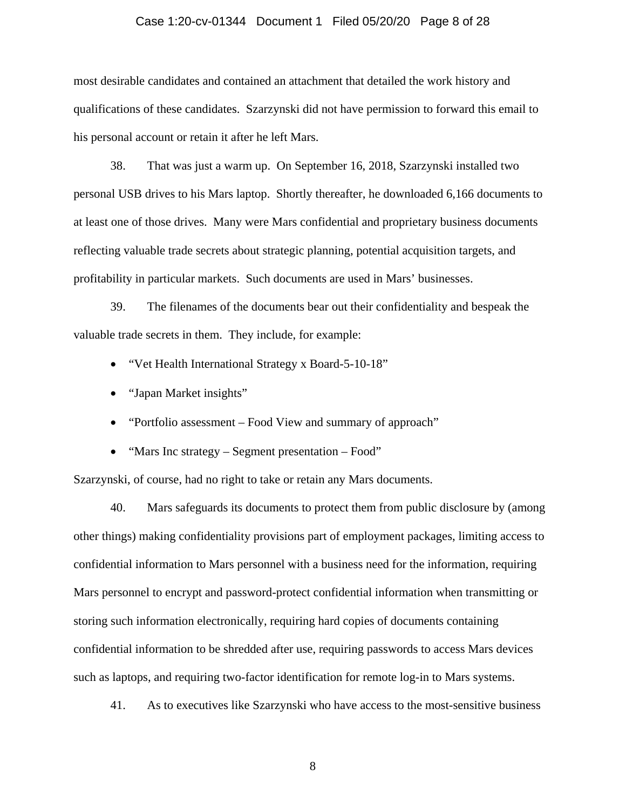## Case 1:20-cv-01344 Document 1 Filed 05/20/20 Page 8 of 28

most desirable candidates and contained an attachment that detailed the work history and qualifications of these candidates. Szarzynski did not have permission to forward this email to his personal account or retain it after he left Mars.

38. That was just a warm up. On September 16, 2018, Szarzynski installed two personal USB drives to his Mars laptop. Shortly thereafter, he downloaded 6,166 documents to at least one of those drives. Many were Mars confidential and proprietary business documents reflecting valuable trade secrets about strategic planning, potential acquisition targets, and profitability in particular markets. Such documents are used in Mars' businesses.

39. The filenames of the documents bear out their confidentiality and bespeak the valuable trade secrets in them. They include, for example:

- "Vet Health International Strategy x Board-5-10-18"
- "Japan Market insights"
- "Portfolio assessment Food View and summary of approach"
- "Mars Inc strategy Segment presentation Food"

Szarzynski, of course, had no right to take or retain any Mars documents.

40. Mars safeguards its documents to protect them from public disclosure by (among other things) making confidentiality provisions part of employment packages, limiting access to confidential information to Mars personnel with a business need for the information, requiring Mars personnel to encrypt and password-protect confidential information when transmitting or storing such information electronically, requiring hard copies of documents containing confidential information to be shredded after use, requiring passwords to access Mars devices such as laptops, and requiring two-factor identification for remote log-in to Mars systems.

41. As to executives like Szarzynski who have access to the most-sensitive business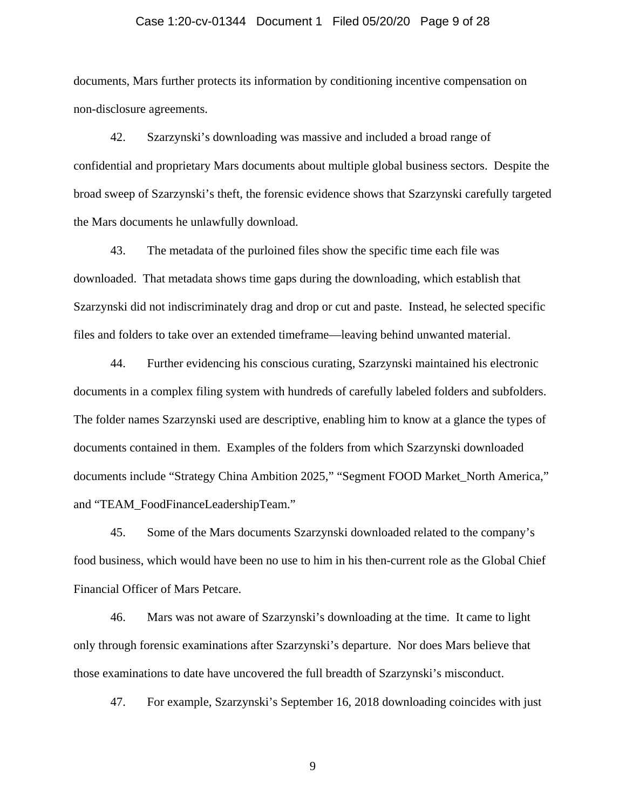#### Case 1:20-cv-01344 Document 1 Filed 05/20/20 Page 9 of 28

documents, Mars further protects its information by conditioning incentive compensation on non-disclosure agreements.

42. Szarzynski's downloading was massive and included a broad range of confidential and proprietary Mars documents about multiple global business sectors. Despite the broad sweep of Szarzynski's theft, the forensic evidence shows that Szarzynski carefully targeted the Mars documents he unlawfully download.

43. The metadata of the purloined files show the specific time each file was downloaded. That metadata shows time gaps during the downloading, which establish that Szarzynski did not indiscriminately drag and drop or cut and paste. Instead, he selected specific files and folders to take over an extended timeframe—leaving behind unwanted material.

44. Further evidencing his conscious curating, Szarzynski maintained his electronic documents in a complex filing system with hundreds of carefully labeled folders and subfolders. The folder names Szarzynski used are descriptive, enabling him to know at a glance the types of documents contained in them. Examples of the folders from which Szarzynski downloaded documents include "Strategy China Ambition 2025," "Segment FOOD Market\_North America," and "TEAM\_FoodFinanceLeadershipTeam."

45. Some of the Mars documents Szarzynski downloaded related to the company's food business, which would have been no use to him in his then-current role as the Global Chief Financial Officer of Mars Petcare.

46. Mars was not aware of Szarzynski's downloading at the time. It came to light only through forensic examinations after Szarzynski's departure. Nor does Mars believe that those examinations to date have uncovered the full breadth of Szarzynski's misconduct.

47. For example, Szarzynski's September 16, 2018 downloading coincides with just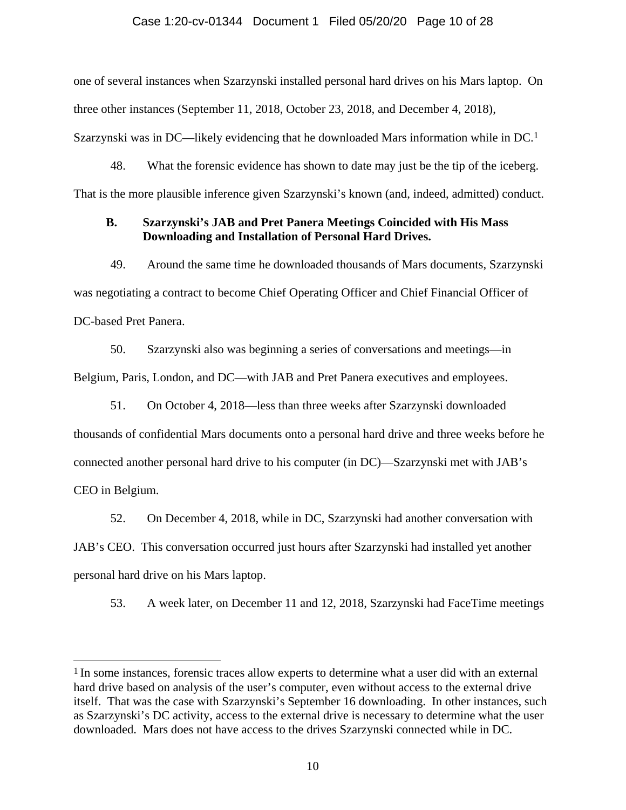### Case 1:20-cv-01344 Document 1 Filed 05/20/20 Page 10 of 28

one of several instances when Szarzynski installed personal hard drives on his Mars laptop. On three other instances (September 11, 2018, October 23, 2018, and December 4, 2018), Szarzynski was in DC—likely evidencing that he downloaded Mars information while in DC.1

48. What the forensic evidence has shown to date may just be the tip of the iceberg. That is the more plausible inference given Szarzynski's known (and, indeed, admitted) conduct.

# **B. Szarzynski's JAB and Pret Panera Meetings Coincided with His Mass Downloading and Installation of Personal Hard Drives.**

49. Around the same time he downloaded thousands of Mars documents, Szarzynski was negotiating a contract to become Chief Operating Officer and Chief Financial Officer of DC-based Pret Panera.

50. Szarzynski also was beginning a series of conversations and meetings—in Belgium, Paris, London, and DC—with JAB and Pret Panera executives and employees.

51. On October 4, 2018—less than three weeks after Szarzynski downloaded thousands of confidential Mars documents onto a personal hard drive and three weeks before he connected another personal hard drive to his computer (in DC)—Szarzynski met with JAB's CEO in Belgium.

52. On December 4, 2018, while in DC, Szarzynski had another conversation with JAB's CEO. This conversation occurred just hours after Szarzynski had installed yet another personal hard drive on his Mars laptop.

53. A week later, on December 11 and 12, 2018, Szarzynski had FaceTime meetings

<sup>1</sup> In some instances, forensic traces allow experts to determine what a user did with an external hard drive based on analysis of the user's computer, even without access to the external drive itself. That was the case with Szarzynski's September 16 downloading. In other instances, such as Szarzynski's DC activity, access to the external drive is necessary to determine what the user downloaded. Mars does not have access to the drives Szarzynski connected while in DC.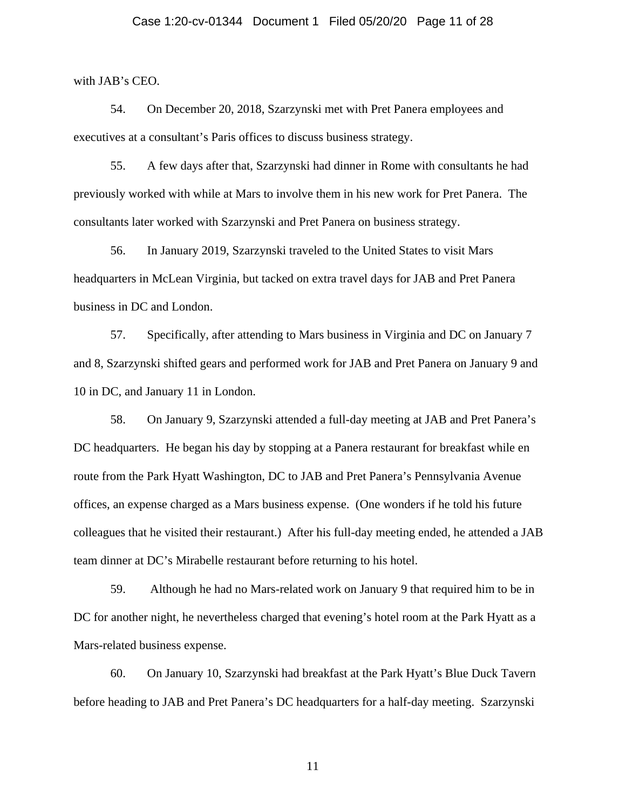## Case 1:20-cv-01344 Document 1 Filed 05/20/20 Page 11 of 28

with JAB's CEO.

54. On December 20, 2018, Szarzynski met with Pret Panera employees and executives at a consultant's Paris offices to discuss business strategy.

55. A few days after that, Szarzynski had dinner in Rome with consultants he had previously worked with while at Mars to involve them in his new work for Pret Panera. The consultants later worked with Szarzynski and Pret Panera on business strategy.

56. In January 2019, Szarzynski traveled to the United States to visit Mars headquarters in McLean Virginia, but tacked on extra travel days for JAB and Pret Panera business in DC and London.

57. Specifically, after attending to Mars business in Virginia and DC on January 7 and 8, Szarzynski shifted gears and performed work for JAB and Pret Panera on January 9 and 10 in DC, and January 11 in London.

58. On January 9, Szarzynski attended a full-day meeting at JAB and Pret Panera's DC headquarters. He began his day by stopping at a Panera restaurant for breakfast while en route from the Park Hyatt Washington, DC to JAB and Pret Panera's Pennsylvania Avenue offices, an expense charged as a Mars business expense. (One wonders if he told his future colleagues that he visited their restaurant.) After his full-day meeting ended, he attended a JAB team dinner at DC's Mirabelle restaurant before returning to his hotel.

59. Although he had no Mars-related work on January 9 that required him to be in DC for another night, he nevertheless charged that evening's hotel room at the Park Hyatt as a Mars-related business expense.

60. On January 10, Szarzynski had breakfast at the Park Hyatt's Blue Duck Tavern before heading to JAB and Pret Panera's DC headquarters for a half-day meeting. Szarzynski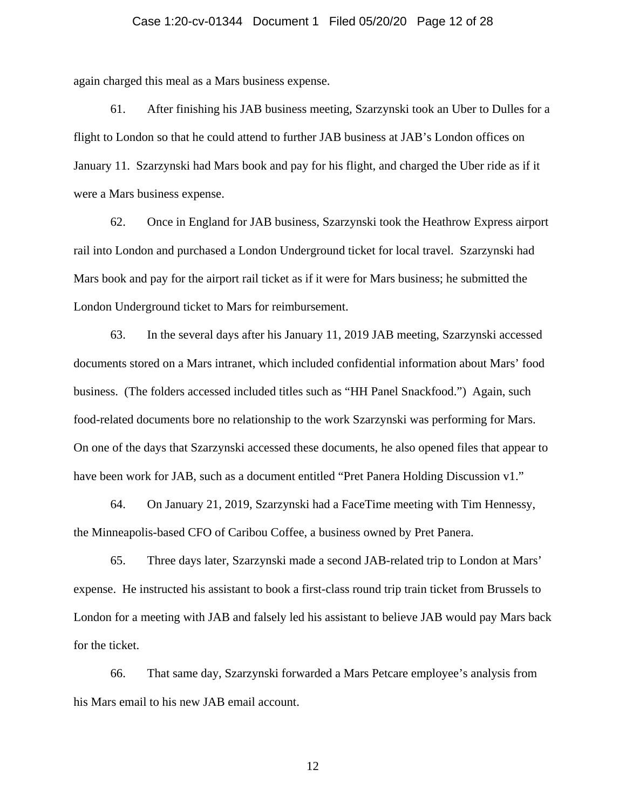## Case 1:20-cv-01344 Document 1 Filed 05/20/20 Page 12 of 28

again charged this meal as a Mars business expense.

61. After finishing his JAB business meeting, Szarzynski took an Uber to Dulles for a flight to London so that he could attend to further JAB business at JAB's London offices on January 11. Szarzynski had Mars book and pay for his flight, and charged the Uber ride as if it were a Mars business expense.

62. Once in England for JAB business, Szarzynski took the Heathrow Express airport rail into London and purchased a London Underground ticket for local travel. Szarzynski had Mars book and pay for the airport rail ticket as if it were for Mars business; he submitted the London Underground ticket to Mars for reimbursement.

63. In the several days after his January 11, 2019 JAB meeting, Szarzynski accessed documents stored on a Mars intranet, which included confidential information about Mars' food business. (The folders accessed included titles such as "HH Panel Snackfood.") Again, such food-related documents bore no relationship to the work Szarzynski was performing for Mars. On one of the days that Szarzynski accessed these documents, he also opened files that appear to have been work for JAB, such as a document entitled "Pret Panera Holding Discussion v1."

64. On January 21, 2019, Szarzynski had a FaceTime meeting with Tim Hennessy, the Minneapolis-based CFO of Caribou Coffee, a business owned by Pret Panera.

65. Three days later, Szarzynski made a second JAB-related trip to London at Mars' expense. He instructed his assistant to book a first-class round trip train ticket from Brussels to London for a meeting with JAB and falsely led his assistant to believe JAB would pay Mars back for the ticket.

66. That same day, Szarzynski forwarded a Mars Petcare employee's analysis from his Mars email to his new JAB email account.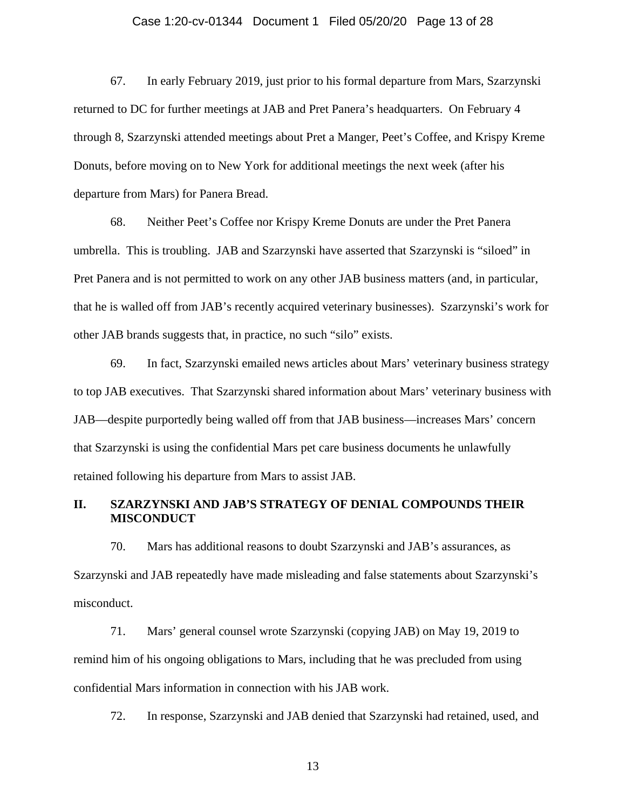## Case 1:20-cv-01344 Document 1 Filed 05/20/20 Page 13 of 28

67. In early February 2019, just prior to his formal departure from Mars, Szarzynski returned to DC for further meetings at JAB and Pret Panera's headquarters. On February 4 through 8, Szarzynski attended meetings about Pret a Manger, Peet's Coffee, and Krispy Kreme Donuts, before moving on to New York for additional meetings the next week (after his departure from Mars) for Panera Bread.

68. Neither Peet's Coffee nor Krispy Kreme Donuts are under the Pret Panera umbrella. This is troubling. JAB and Szarzynski have asserted that Szarzynski is "siloed" in Pret Panera and is not permitted to work on any other JAB business matters (and, in particular, that he is walled off from JAB's recently acquired veterinary businesses). Szarzynski's work for other JAB brands suggests that, in practice, no such "silo" exists.

69. In fact, Szarzynski emailed news articles about Mars' veterinary business strategy to top JAB executives. That Szarzynski shared information about Mars' veterinary business with JAB—despite purportedly being walled off from that JAB business—increases Mars' concern that Szarzynski is using the confidential Mars pet care business documents he unlawfully retained following his departure from Mars to assist JAB.

## **II. SZARZYNSKI AND JAB'S STRATEGY OF DENIAL COMPOUNDS THEIR MISCONDUCT**

70. Mars has additional reasons to doubt Szarzynski and JAB's assurances, as Szarzynski and JAB repeatedly have made misleading and false statements about Szarzynski's misconduct.

71. Mars' general counsel wrote Szarzynski (copying JAB) on May 19, 2019 to remind him of his ongoing obligations to Mars, including that he was precluded from using confidential Mars information in connection with his JAB work.

72. In response, Szarzynski and JAB denied that Szarzynski had retained, used, and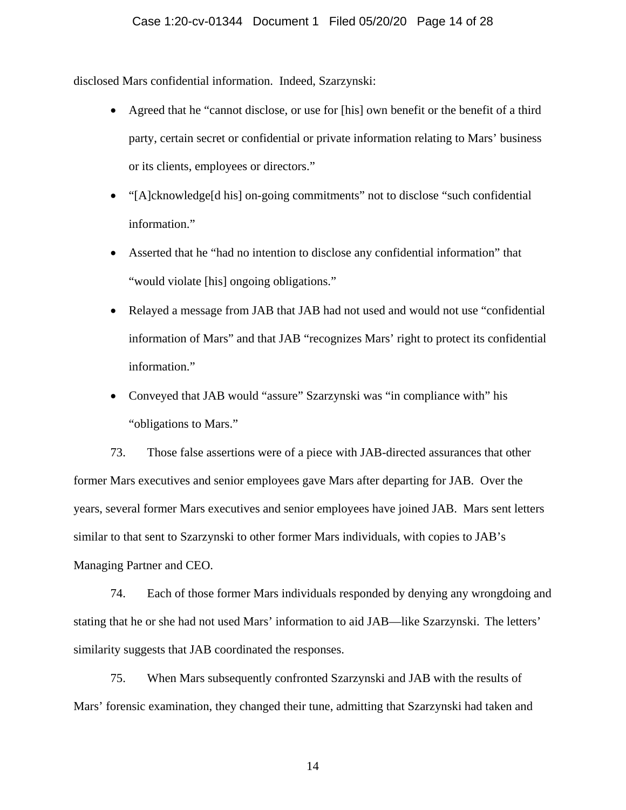disclosed Mars confidential information. Indeed, Szarzynski:

- Agreed that he "cannot disclose, or use for [his] own benefit or the benefit of a third party, certain secret or confidential or private information relating to Mars' business or its clients, employees or directors."
- "[A]cknowledge[d his] on-going commitments" not to disclose "such confidential information."
- Asserted that he "had no intention to disclose any confidential information" that "would violate [his] ongoing obligations."
- Relayed a message from JAB that JAB had not used and would not use "confidential" information of Mars" and that JAB "recognizes Mars' right to protect its confidential information."
- Conveyed that JAB would "assure" Szarzynski was "in compliance with" his "obligations to Mars."

73. Those false assertions were of a piece with JAB-directed assurances that other former Mars executives and senior employees gave Mars after departing for JAB. Over the years, several former Mars executives and senior employees have joined JAB. Mars sent letters similar to that sent to Szarzynski to other former Mars individuals, with copies to JAB's Managing Partner and CEO.

74. Each of those former Mars individuals responded by denying any wrongdoing and stating that he or she had not used Mars' information to aid JAB—like Szarzynski. The letters' similarity suggests that JAB coordinated the responses.

75. When Mars subsequently confronted Szarzynski and JAB with the results of Mars' forensic examination, they changed their tune, admitting that Szarzynski had taken and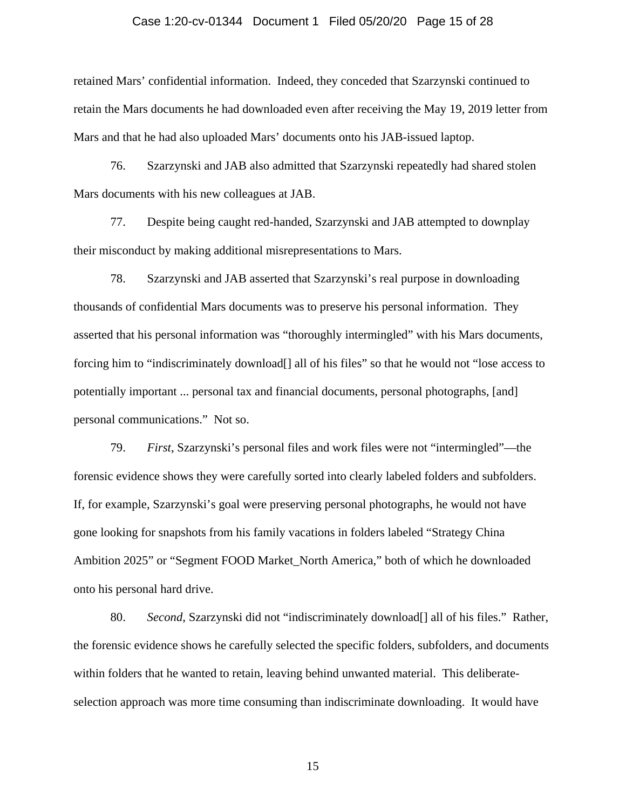#### Case 1:20-cv-01344 Document 1 Filed 05/20/20 Page 15 of 28

retained Mars' confidential information. Indeed, they conceded that Szarzynski continued to retain the Mars documents he had downloaded even after receiving the May 19, 2019 letter from Mars and that he had also uploaded Mars' documents onto his JAB-issued laptop.

76. Szarzynski and JAB also admitted that Szarzynski repeatedly had shared stolen Mars documents with his new colleagues at JAB.

77. Despite being caught red-handed, Szarzynski and JAB attempted to downplay their misconduct by making additional misrepresentations to Mars.

78. Szarzynski and JAB asserted that Szarzynski's real purpose in downloading thousands of confidential Mars documents was to preserve his personal information. They asserted that his personal information was "thoroughly intermingled" with his Mars documents, forcing him to "indiscriminately download[] all of his files" so that he would not "lose access to potentially important ... personal tax and financial documents, personal photographs, [and] personal communications." Not so.

79. *First*, Szarzynski's personal files and work files were not "intermingled"—the forensic evidence shows they were carefully sorted into clearly labeled folders and subfolders. If, for example, Szarzynski's goal were preserving personal photographs, he would not have gone looking for snapshots from his family vacations in folders labeled "Strategy China Ambition 2025" or "Segment FOOD Market\_North America," both of which he downloaded onto his personal hard drive.

80. *Second*, Szarzynski did not "indiscriminately download[] all of his files." Rather, the forensic evidence shows he carefully selected the specific folders, subfolders, and documents within folders that he wanted to retain, leaving behind unwanted material. This deliberateselection approach was more time consuming than indiscriminate downloading. It would have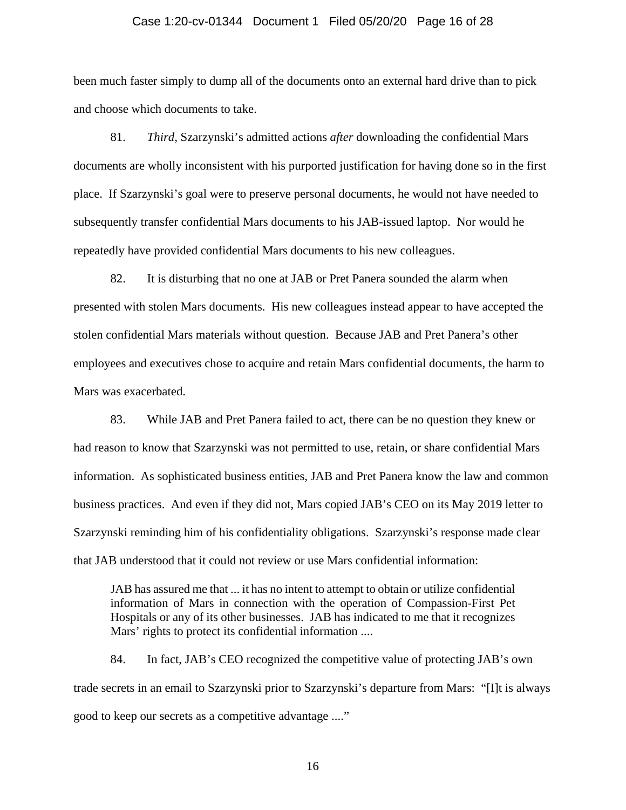#### Case 1:20-cv-01344 Document 1 Filed 05/20/20 Page 16 of 28

been much faster simply to dump all of the documents onto an external hard drive than to pick and choose which documents to take.

81. *Third*, Szarzynski's admitted actions *after* downloading the confidential Mars documents are wholly inconsistent with his purported justification for having done so in the first place. If Szarzynski's goal were to preserve personal documents, he would not have needed to subsequently transfer confidential Mars documents to his JAB-issued laptop. Nor would he repeatedly have provided confidential Mars documents to his new colleagues.

82. It is disturbing that no one at JAB or Pret Panera sounded the alarm when presented with stolen Mars documents. His new colleagues instead appear to have accepted the stolen confidential Mars materials without question. Because JAB and Pret Panera's other employees and executives chose to acquire and retain Mars confidential documents, the harm to Mars was exacerbated.

83. While JAB and Pret Panera failed to act, there can be no question they knew or had reason to know that Szarzynski was not permitted to use, retain, or share confidential Mars information. As sophisticated business entities, JAB and Pret Panera know the law and common business practices. And even if they did not, Mars copied JAB's CEO on its May 2019 letter to Szarzynski reminding him of his confidentiality obligations. Szarzynski's response made clear that JAB understood that it could not review or use Mars confidential information:

JAB has assured me that ... it has no intent to attempt to obtain or utilize confidential information of Mars in connection with the operation of Compassion-First Pet Hospitals or any of its other businesses. JAB has indicated to me that it recognizes Mars' rights to protect its confidential information ....

84. In fact, JAB's CEO recognized the competitive value of protecting JAB's own trade secrets in an email to Szarzynski prior to Szarzynski's departure from Mars: "[I]t is always good to keep our secrets as a competitive advantage ...."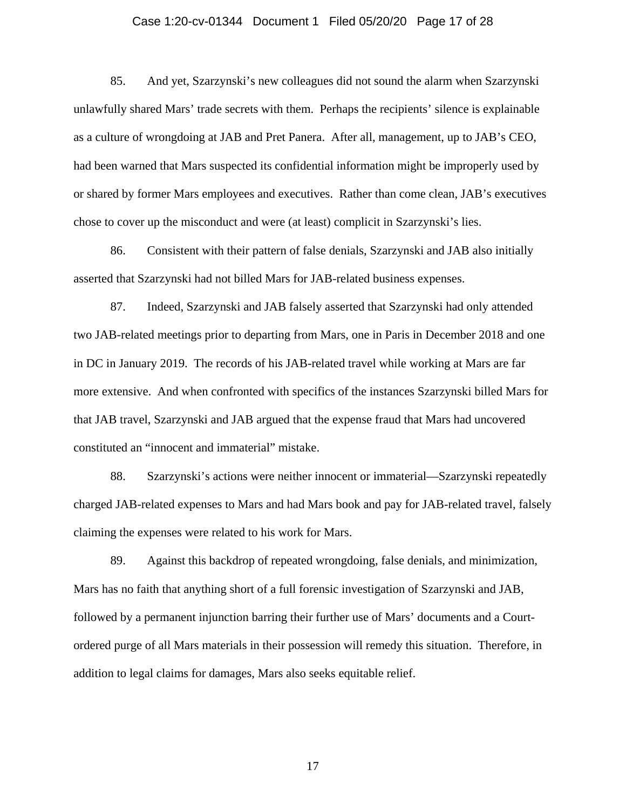## Case 1:20-cv-01344 Document 1 Filed 05/20/20 Page 17 of 28

85. And yet, Szarzynski's new colleagues did not sound the alarm when Szarzynski unlawfully shared Mars' trade secrets with them. Perhaps the recipients' silence is explainable as a culture of wrongdoing at JAB and Pret Panera. After all, management, up to JAB's CEO, had been warned that Mars suspected its confidential information might be improperly used by or shared by former Mars employees and executives. Rather than come clean, JAB's executives chose to cover up the misconduct and were (at least) complicit in Szarzynski's lies.

86. Consistent with their pattern of false denials, Szarzynski and JAB also initially asserted that Szarzynski had not billed Mars for JAB-related business expenses.

87. Indeed, Szarzynski and JAB falsely asserted that Szarzynski had only attended two JAB-related meetings prior to departing from Mars, one in Paris in December 2018 and one in DC in January 2019. The records of his JAB-related travel while working at Mars are far more extensive. And when confronted with specifics of the instances Szarzynski billed Mars for that JAB travel, Szarzynski and JAB argued that the expense fraud that Mars had uncovered constituted an "innocent and immaterial" mistake.

88. Szarzynski's actions were neither innocent or immaterial—Szarzynski repeatedly charged JAB-related expenses to Mars and had Mars book and pay for JAB-related travel, falsely claiming the expenses were related to his work for Mars.

89. Against this backdrop of repeated wrongdoing, false denials, and minimization, Mars has no faith that anything short of a full forensic investigation of Szarzynski and JAB, followed by a permanent injunction barring their further use of Mars' documents and a Courtordered purge of all Mars materials in their possession will remedy this situation. Therefore, in addition to legal claims for damages, Mars also seeks equitable relief.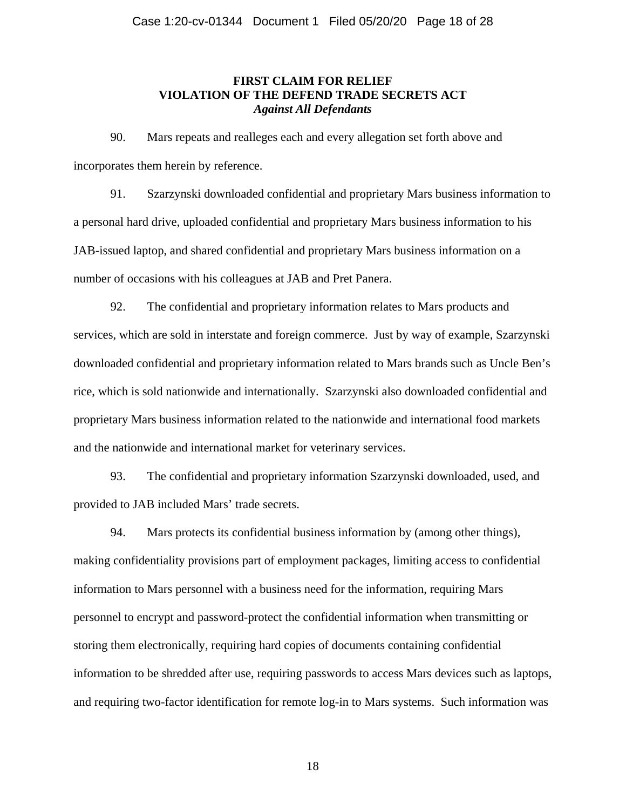## **FIRST CLAIM FOR RELIEF VIOLATION OF THE DEFEND TRADE SECRETS ACT**  *Against All Defendants*

90. Mars repeats and realleges each and every allegation set forth above and incorporates them herein by reference.

91. Szarzynski downloaded confidential and proprietary Mars business information to a personal hard drive, uploaded confidential and proprietary Mars business information to his JAB-issued laptop, and shared confidential and proprietary Mars business information on a number of occasions with his colleagues at JAB and Pret Panera.

92. The confidential and proprietary information relates to Mars products and services, which are sold in interstate and foreign commerce. Just by way of example, Szarzynski downloaded confidential and proprietary information related to Mars brands such as Uncle Ben's rice, which is sold nationwide and internationally. Szarzynski also downloaded confidential and proprietary Mars business information related to the nationwide and international food markets and the nationwide and international market for veterinary services.

93. The confidential and proprietary information Szarzynski downloaded, used, and provided to JAB included Mars' trade secrets.

94. Mars protects its confidential business information by (among other things), making confidentiality provisions part of employment packages, limiting access to confidential information to Mars personnel with a business need for the information, requiring Mars personnel to encrypt and password-protect the confidential information when transmitting or storing them electronically, requiring hard copies of documents containing confidential information to be shredded after use, requiring passwords to access Mars devices such as laptops, and requiring two-factor identification for remote log-in to Mars systems. Such information was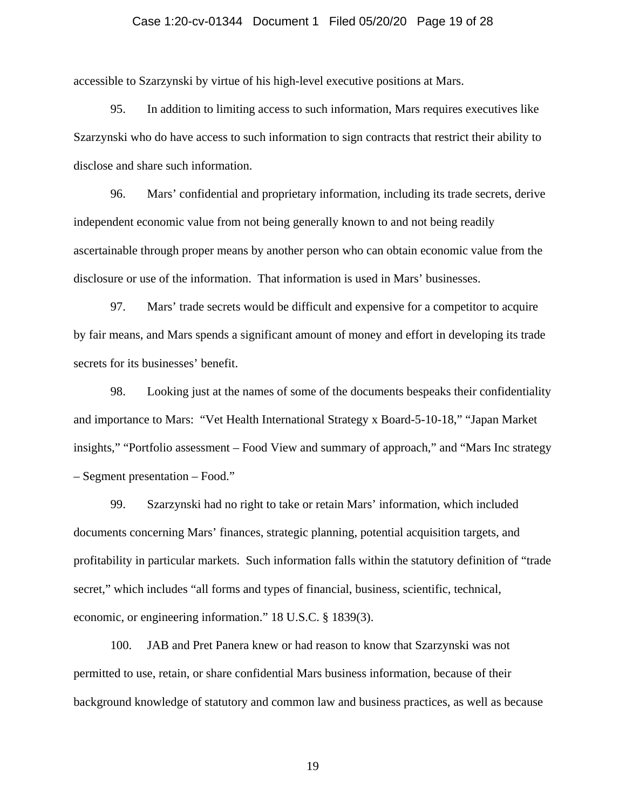## Case 1:20-cv-01344 Document 1 Filed 05/20/20 Page 19 of 28

accessible to Szarzynski by virtue of his high-level executive positions at Mars.

95. In addition to limiting access to such information, Mars requires executives like Szarzynski who do have access to such information to sign contracts that restrict their ability to disclose and share such information.

96. Mars' confidential and proprietary information, including its trade secrets, derive independent economic value from not being generally known to and not being readily ascertainable through proper means by another person who can obtain economic value from the disclosure or use of the information. That information is used in Mars' businesses.

97. Mars' trade secrets would be difficult and expensive for a competitor to acquire by fair means, and Mars spends a significant amount of money and effort in developing its trade secrets for its businesses' benefit.

98. Looking just at the names of some of the documents bespeaks their confidentiality and importance to Mars: "Vet Health International Strategy x Board-5-10-18," "Japan Market insights," "Portfolio assessment – Food View and summary of approach," and "Mars Inc strategy – Segment presentation – Food."

99. Szarzynski had no right to take or retain Mars' information, which included documents concerning Mars' finances, strategic planning, potential acquisition targets, and profitability in particular markets. Such information falls within the statutory definition of "trade secret," which includes "all forms and types of financial, business, scientific, technical, economic, or engineering information." 18 U.S.C. § 1839(3).

100. JAB and Pret Panera knew or had reason to know that Szarzynski was not permitted to use, retain, or share confidential Mars business information, because of their background knowledge of statutory and common law and business practices, as well as because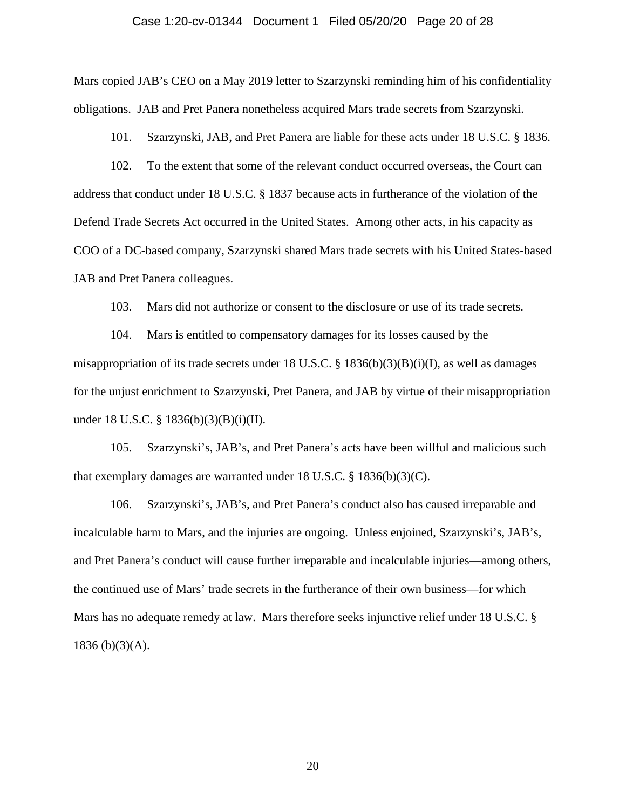#### Case 1:20-cv-01344 Document 1 Filed 05/20/20 Page 20 of 28

Mars copied JAB's CEO on a May 2019 letter to Szarzynski reminding him of his confidentiality obligations. JAB and Pret Panera nonetheless acquired Mars trade secrets from Szarzynski.

101. Szarzynski, JAB, and Pret Panera are liable for these acts under 18 U.S.C. § 1836.

102. To the extent that some of the relevant conduct occurred overseas, the Court can address that conduct under 18 U.S.C. § 1837 because acts in furtherance of the violation of the Defend Trade Secrets Act occurred in the United States. Among other acts, in his capacity as COO of a DC-based company, Szarzynski shared Mars trade secrets with his United States-based JAB and Pret Panera colleagues.

103. Mars did not authorize or consent to the disclosure or use of its trade secrets.

104. Mars is entitled to compensatory damages for its losses caused by the misappropriation of its trade secrets under 18 U.S.C. § 1836(b)(3)(B)(i)(I), as well as damages for the unjust enrichment to Szarzynski, Pret Panera, and JAB by virtue of their misappropriation under 18 U.S.C. § 1836(b)(3)(B)(i)(II).

105. Szarzynski's, JAB's, and Pret Panera's acts have been willful and malicious such that exemplary damages are warranted under 18 U.S.C. § 1836(b)(3)(C).

106. Szarzynski's, JAB's, and Pret Panera's conduct also has caused irreparable and incalculable harm to Mars, and the injuries are ongoing. Unless enjoined, Szarzynski's, JAB's, and Pret Panera's conduct will cause further irreparable and incalculable injuries—among others, the continued use of Mars' trade secrets in the furtherance of their own business—for which Mars has no adequate remedy at law. Mars therefore seeks injunctive relief under 18 U.S.C. §  $1836 (b)(3)(A)$ .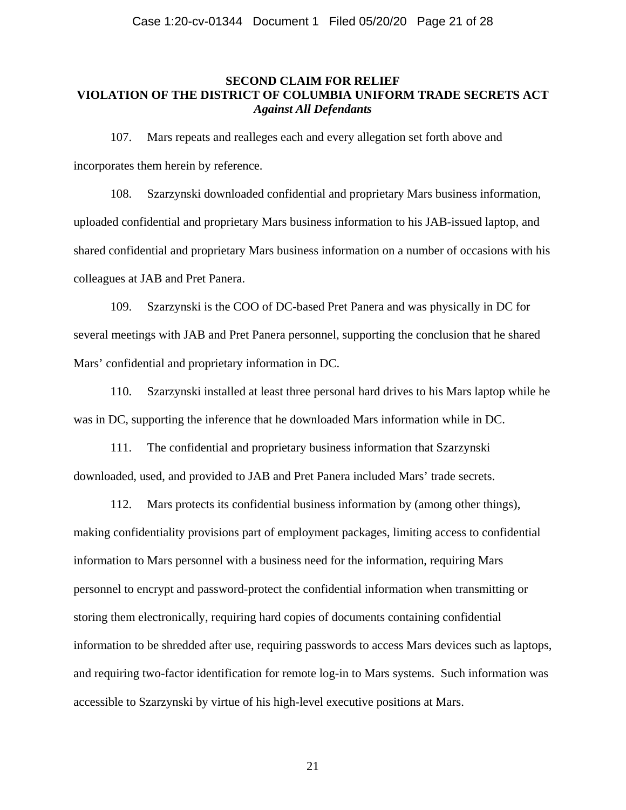## **SECOND CLAIM FOR RELIEF VIOLATION OF THE DISTRICT OF COLUMBIA UNIFORM TRADE SECRETS ACT**  *Against All Defendants*

107. Mars repeats and realleges each and every allegation set forth above and incorporates them herein by reference.

108. Szarzynski downloaded confidential and proprietary Mars business information, uploaded confidential and proprietary Mars business information to his JAB-issued laptop, and shared confidential and proprietary Mars business information on a number of occasions with his colleagues at JAB and Pret Panera.

109. Szarzynski is the COO of DC-based Pret Panera and was physically in DC for several meetings with JAB and Pret Panera personnel, supporting the conclusion that he shared Mars' confidential and proprietary information in DC.

110. Szarzynski installed at least three personal hard drives to his Mars laptop while he was in DC, supporting the inference that he downloaded Mars information while in DC.

111. The confidential and proprietary business information that Szarzynski downloaded, used, and provided to JAB and Pret Panera included Mars' trade secrets.

112. Mars protects its confidential business information by (among other things), making confidentiality provisions part of employment packages, limiting access to confidential information to Mars personnel with a business need for the information, requiring Mars personnel to encrypt and password-protect the confidential information when transmitting or storing them electronically, requiring hard copies of documents containing confidential information to be shredded after use, requiring passwords to access Mars devices such as laptops, and requiring two-factor identification for remote log-in to Mars systems. Such information was accessible to Szarzynski by virtue of his high-level executive positions at Mars.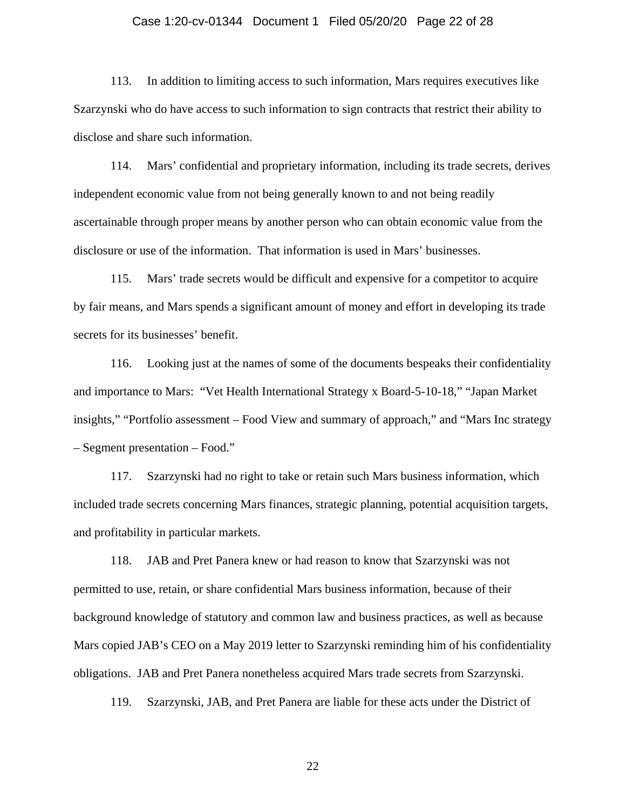## Case 1:20-cv-01344 Document 1 Filed 05/20/20 Page 22 of 28

113. In addition to limiting access to such information, Mars requires executives like Szarzynski who do have access to such information to sign contracts that restrict their ability to disclose and share such information.

114. Mars' confidential and proprietary information, including its trade secrets, derives independent economic value from not being generally known to and not being readily ascertainable through proper means by another person who can obtain economic value from the disclosure or use of the information. That information is used in Mars' businesses.

115. Mars' trade secrets would be difficult and expensive for a competitor to acquire by fair means, and Mars spends a significant amount of money and effort in developing its trade secrets for its businesses' benefit.

116. Looking just at the names of some of the documents bespeaks their confidentiality and importance to Mars: "Vet Health International Strategy x Board-5-10-18," "Japan Market insights," "Portfolio assessment – Food View and summary of approach," and "Mars Inc strategy – Segment presentation – Food."

117. Szarzynski had no right to take or retain such Mars business information, which included trade secrets concerning Mars finances, strategic planning, potential acquisition targets, and profitability in particular markets.

118. JAB and Pret Panera knew or had reason to know that Szarzynski was not permitted to use, retain, or share confidential Mars business information, because of their background knowledge of statutory and common law and business practices, as well as because Mars copied JAB's CEO on a May 2019 letter to Szarzynski reminding him of his confidentiality obligations. JAB and Pret Panera nonetheless acquired Mars trade secrets from Szarzynski.

119. Szarzynski, JAB, and Pret Panera are liable for these acts under the District of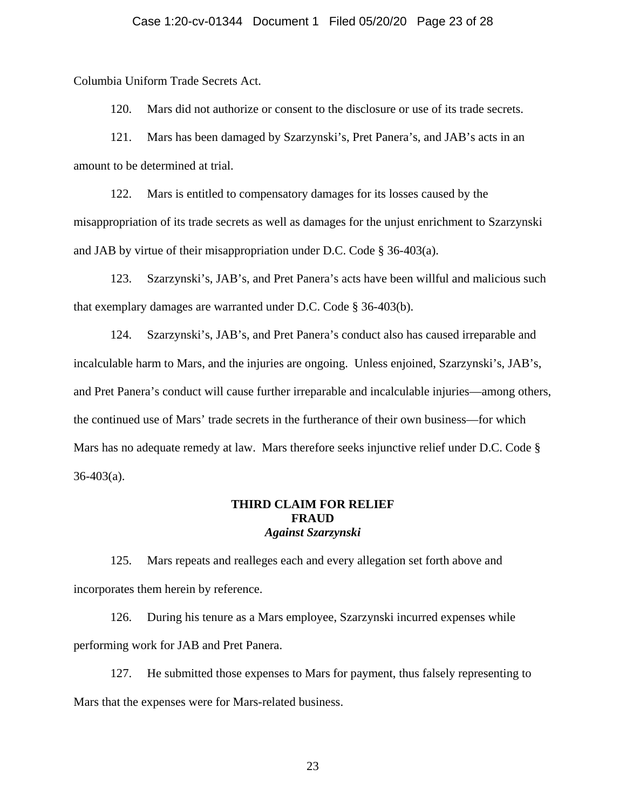Columbia Uniform Trade Secrets Act.

120. Mars did not authorize or consent to the disclosure or use of its trade secrets.

121. Mars has been damaged by Szarzynski's, Pret Panera's, and JAB's acts in an amount to be determined at trial.

122. Mars is entitled to compensatory damages for its losses caused by the misappropriation of its trade secrets as well as damages for the unjust enrichment to Szarzynski and JAB by virtue of their misappropriation under D.C. Code § 36-403(a).

123. Szarzynski's, JAB's, and Pret Panera's acts have been willful and malicious such that exemplary damages are warranted under D.C. Code § 36-403(b).

124. Szarzynski's, JAB's, and Pret Panera's conduct also has caused irreparable and incalculable harm to Mars, and the injuries are ongoing. Unless enjoined, Szarzynski's, JAB's, and Pret Panera's conduct will cause further irreparable and incalculable injuries—among others, the continued use of Mars' trade secrets in the furtherance of their own business—for which Mars has no adequate remedy at law. Mars therefore seeks injunctive relief under D.C. Code §  $36-403(a)$ .

## **THIRD CLAIM FOR RELIEF FRAUD**  *Against Szarzynski*

125. Mars repeats and realleges each and every allegation set forth above and incorporates them herein by reference.

126. During his tenure as a Mars employee, Szarzynski incurred expenses while performing work for JAB and Pret Panera.

127. He submitted those expenses to Mars for payment, thus falsely representing to Mars that the expenses were for Mars-related business.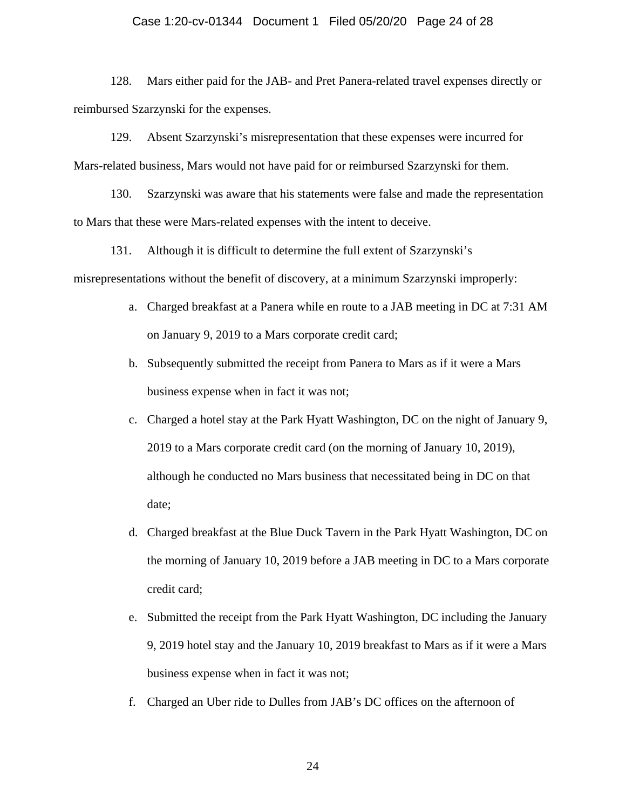## Case 1:20-cv-01344 Document 1 Filed 05/20/20 Page 24 of 28

128. Mars either paid for the JAB- and Pret Panera-related travel expenses directly or reimbursed Szarzynski for the expenses.

129. Absent Szarzynski's misrepresentation that these expenses were incurred for Mars-related business, Mars would not have paid for or reimbursed Szarzynski for them.

130. Szarzynski was aware that his statements were false and made the representation to Mars that these were Mars-related expenses with the intent to deceive.

131. Although it is difficult to determine the full extent of Szarzynski's misrepresentations without the benefit of discovery, at a minimum Szarzynski improperly:

- a. Charged breakfast at a Panera while en route to a JAB meeting in DC at 7:31 AM on January 9, 2019 to a Mars corporate credit card;
- b. Subsequently submitted the receipt from Panera to Mars as if it were a Mars business expense when in fact it was not;
- c. Charged a hotel stay at the Park Hyatt Washington, DC on the night of January 9, 2019 to a Mars corporate credit card (on the morning of January 10, 2019), although he conducted no Mars business that necessitated being in DC on that date;
- d. Charged breakfast at the Blue Duck Tavern in the Park Hyatt Washington, DC on the morning of January 10, 2019 before a JAB meeting in DC to a Mars corporate credit card;
- e. Submitted the receipt from the Park Hyatt Washington, DC including the January 9, 2019 hotel stay and the January 10, 2019 breakfast to Mars as if it were a Mars business expense when in fact it was not;
- f. Charged an Uber ride to Dulles from JAB's DC offices on the afternoon of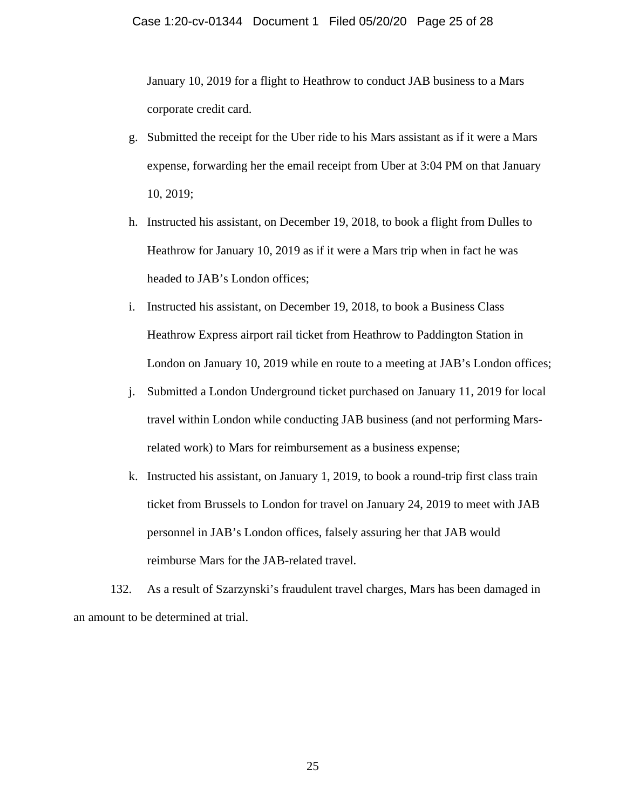January 10, 2019 for a flight to Heathrow to conduct JAB business to a Mars corporate credit card.

- g. Submitted the receipt for the Uber ride to his Mars assistant as if it were a Mars expense, forwarding her the email receipt from Uber at 3:04 PM on that January 10, 2019;
- h. Instructed his assistant, on December 19, 2018, to book a flight from Dulles to Heathrow for January 10, 2019 as if it were a Mars trip when in fact he was headed to JAB's London offices;
- i. Instructed his assistant, on December 19, 2018, to book a Business Class Heathrow Express airport rail ticket from Heathrow to Paddington Station in London on January 10, 2019 while en route to a meeting at JAB's London offices;
- j. Submitted a London Underground ticket purchased on January 11, 2019 for local travel within London while conducting JAB business (and not performing Marsrelated work) to Mars for reimbursement as a business expense;
- k. Instructed his assistant, on January 1, 2019, to book a round-trip first class train ticket from Brussels to London for travel on January 24, 2019 to meet with JAB personnel in JAB's London offices, falsely assuring her that JAB would reimburse Mars for the JAB-related travel.

132. As a result of Szarzynski's fraudulent travel charges, Mars has been damaged in an amount to be determined at trial.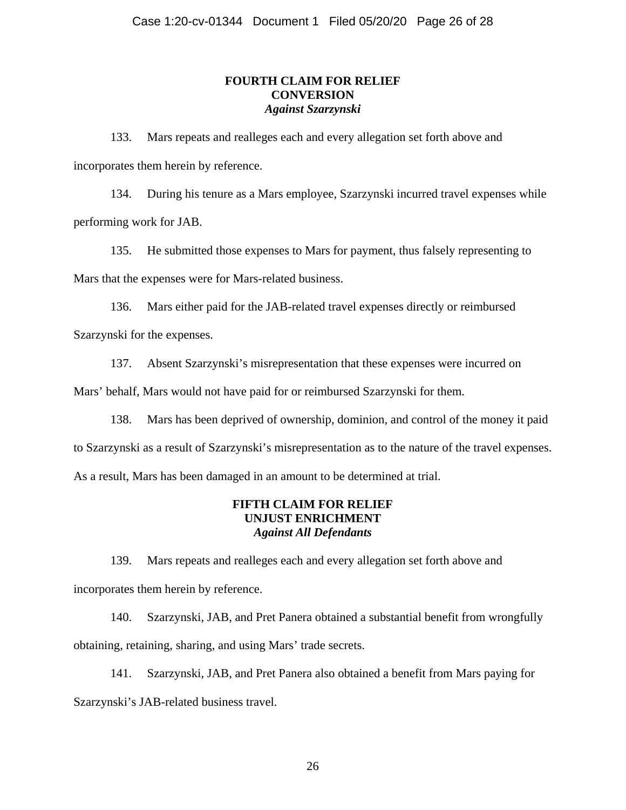# **FOURTH CLAIM FOR RELIEF CONVERSION**  *Against Szarzynski*

133. Mars repeats and realleges each and every allegation set forth above and incorporates them herein by reference.

134. During his tenure as a Mars employee, Szarzynski incurred travel expenses while performing work for JAB.

135. He submitted those expenses to Mars for payment, thus falsely representing to Mars that the expenses were for Mars-related business.

136. Mars either paid for the JAB-related travel expenses directly or reimbursed Szarzynski for the expenses.

137. Absent Szarzynski's misrepresentation that these expenses were incurred on

Mars' behalf, Mars would not have paid for or reimbursed Szarzynski for them.

138. Mars has been deprived of ownership, dominion, and control of the money it paid to Szarzynski as a result of Szarzynski's misrepresentation as to the nature of the travel expenses. As a result, Mars has been damaged in an amount to be determined at trial.

# **FIFTH CLAIM FOR RELIEF UNJUST ENRICHMENT**  *Against All Defendants*

139. Mars repeats and realleges each and every allegation set forth above and incorporates them herein by reference.

140. Szarzynski, JAB, and Pret Panera obtained a substantial benefit from wrongfully obtaining, retaining, sharing, and using Mars' trade secrets.

141. Szarzynski, JAB, and Pret Panera also obtained a benefit from Mars paying for Szarzynski's JAB-related business travel.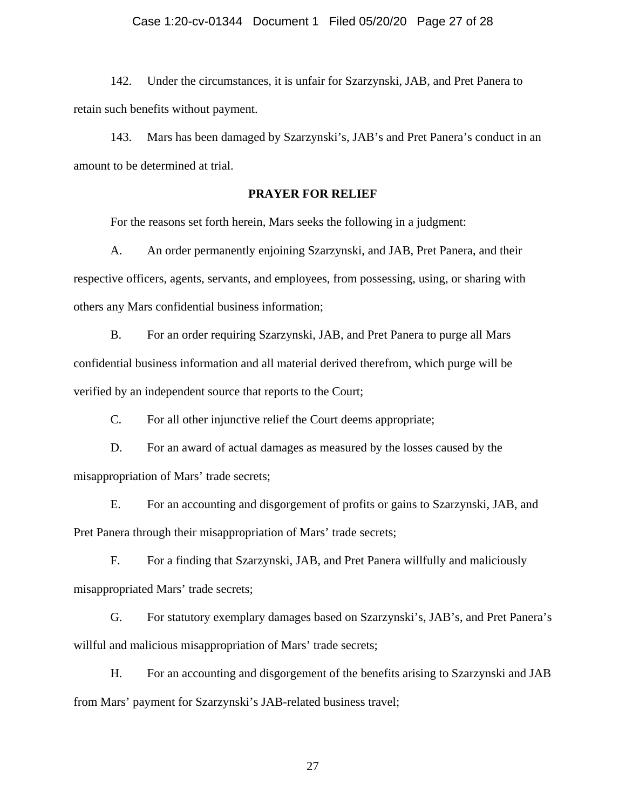## Case 1:20-cv-01344 Document 1 Filed 05/20/20 Page 27 of 28

142. Under the circumstances, it is unfair for Szarzynski, JAB, and Pret Panera to retain such benefits without payment.

143. Mars has been damaged by Szarzynski's, JAB's and Pret Panera's conduct in an amount to be determined at trial.

## **PRAYER FOR RELIEF**

For the reasons set forth herein, Mars seeks the following in a judgment:

A. An order permanently enjoining Szarzynski, and JAB, Pret Panera, and their respective officers, agents, servants, and employees, from possessing, using, or sharing with others any Mars confidential business information;

B. For an order requiring Szarzynski, JAB, and Pret Panera to purge all Mars confidential business information and all material derived therefrom, which purge will be verified by an independent source that reports to the Court;

C. For all other injunctive relief the Court deems appropriate;

D. For an award of actual damages as measured by the losses caused by the misappropriation of Mars' trade secrets;

E. For an accounting and disgorgement of profits or gains to Szarzynski, JAB, and Pret Panera through their misappropriation of Mars' trade secrets;

F. For a finding that Szarzynski, JAB, and Pret Panera willfully and maliciously misappropriated Mars' trade secrets;

G. For statutory exemplary damages based on Szarzynski's, JAB's, and Pret Panera's willful and malicious misappropriation of Mars' trade secrets;

H. For an accounting and disgorgement of the benefits arising to Szarzynski and JAB from Mars' payment for Szarzynski's JAB-related business travel;